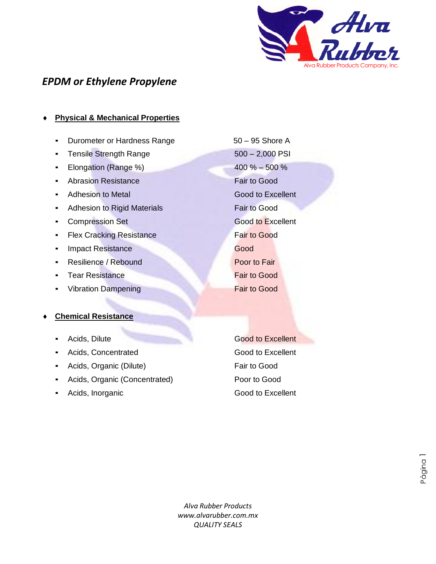

## *EPDM or Ethylene Propylene*

## **Physical & Mechanical Properties**

- Durometer or Hardness Range 50 95 Shore A
- Tensile Strength Range 500 2,000 PSI
- Elongation (Range %) 400 % 500 %
- Abrasion Resistance Fair to Good
- Adhesion to Metal Good to Excellent
- **Adhesion to Rigid Materials Fair to Good**
- **Compression Set Good to Excellent**
- **EXA** Flex Cracking Resistance **Fair to Good**
- **Example 2** Impact Resistance Good
- **Resilience / Rebound Poor to Fair**
- **Example 2** Tear Resistance **Fair to Good**
- Vibration Dampening Fair to Good

#### **Chemical Resistance**

- 
- Acids, Concentrated **Good to Excellent**
- **Acids, Organic (Dilute)** Fair to Good
- Acids, Organic (Concentrated) Poor to Good
- 

**Excellent Acids, Dilute** Good to Excellent Acids, Inorganic **Acids**, Inorganic **Acids**, Inorganic

> *Alva Rubber Products www.alvarubber.com.mx QUALITY SEALS* bbe<br>Y S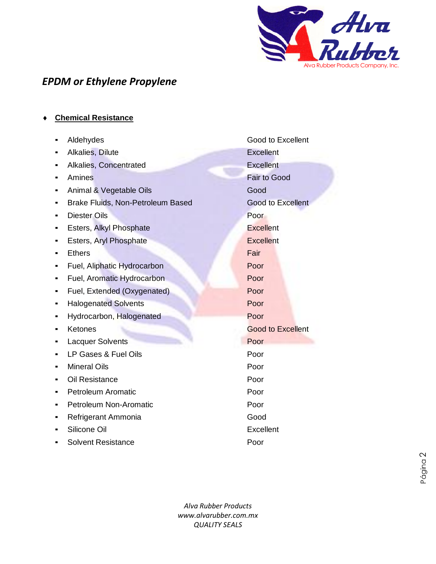

# *EPDM or Ethylene Propylene*

**Chemical Resistance**

|   | Aldehydes                         | Good to Excellent        |
|---|-----------------------------------|--------------------------|
|   | <b>Alkalies, Dilute</b>           | <b>Excellent</b>         |
|   | Alkalies, Concentrated            | <b>Excellent</b>         |
|   | Amines                            | <b>Fair to Good</b>      |
|   | Animal & Vegetable Oils           | Good                     |
|   | Brake Fluids, Non-Petroleum Based | <b>Good to Excellent</b> |
|   | <b>Diester Oils</b>               | Poor                     |
|   | Esters, Alkyl Phosphate           | <b>Excellent</b>         |
|   | Esters, Aryl Phosphate            | <b>Excellent</b>         |
|   | <b>Ethers</b>                     | Fair                     |
|   | Fuel, Aliphatic Hydrocarbon       | Poor                     |
| ٠ | Fuel, Aromatic Hydrocarbon        | Poor                     |
|   | Fuel, Extended (Oxygenated)       | Poor                     |
| ٠ | <b>Halogenated Solvents</b>       | Poor                     |
|   | Hydrocarbon, Halogenated          | Poor                     |
|   | Ketones                           | <b>Good to Excellent</b> |
|   | <b>Lacquer Solvents</b>           | Poor                     |
|   | LP Gases & Fuel Oils              | Poor                     |
|   | <b>Mineral Oils</b>               | Poor                     |
|   | Oil Resistance                    | Poor                     |
|   | <b>Petroleum Aromatic</b>         | Poor                     |
| ٠ | Petroleum Non-Aromatic            | Poor                     |
|   | Refrigerant Ammonia               | Good                     |
|   | Silicone Oil                      | Excellent                |
|   | <b>Solvent Resistance</b>         | Poor                     |

*Alva Rubber Products www.alvarubber.com.mx QUALITY SEALS*